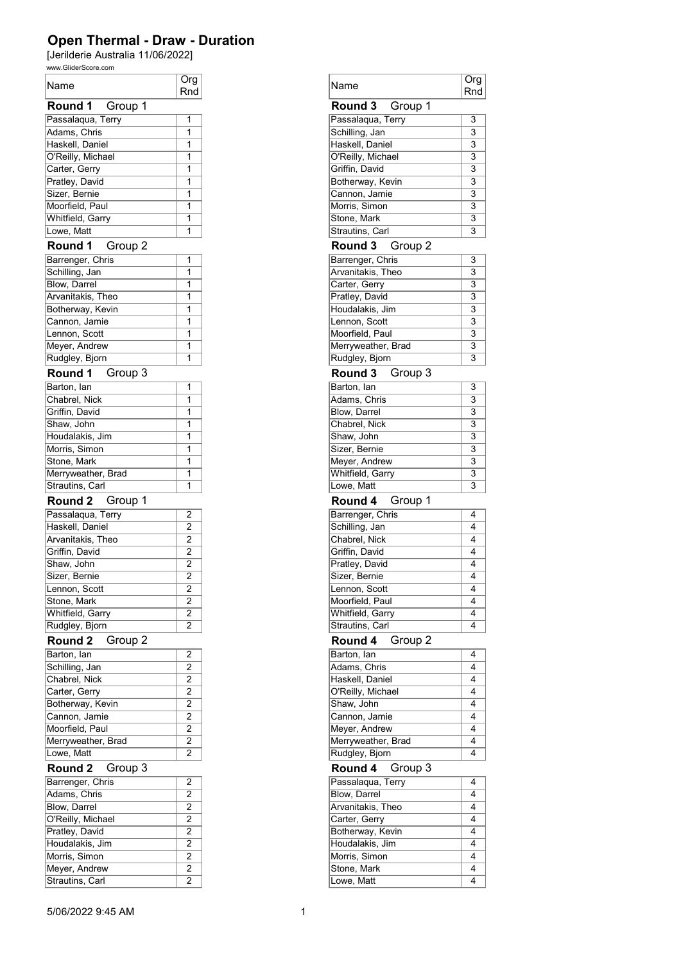## Open Thermal - Draw - Duration

[Jerilderie Australia 11/06/2022]

| www.GliderScore.com    |                |
|------------------------|----------------|
| Name                   | Org            |
|                        | Rnd            |
| <b>Round 1</b> Group 1 |                |
| Passalaqua, Terry      | 1              |
| Adams, Chris           | 1              |
| Haskell, Daniel        | 1              |
| O'Reilly, Michael      | 1              |
| Carter, Gerry          | 1              |
| Pratley, David         | 1              |
| Sizer, Bernie          | 1              |
| Moorfield, Paul        | 1              |
| Whitfield, Garry       | 1              |
| Lowe, Matt             | 1              |
| Round 1<br>Group 2     |                |
|                        |                |
| Barrenger, Chris       | 1              |
| Schilling, Jan         | 1              |
| Blow, Darrel           | 1              |
| Arvanitakis, Theo      | 1              |
| Botherway, Kevin       | 1              |
| Cannon, Jamie          | 1              |
| Lennon, Scott          | 1              |
| Meyer, Andrew          | 1              |
| Rudgley, Bjorn         | 1              |
| Group 3<br>Round 1     |                |
| Barton, lan            | 1              |
| Chabrel, Nick          | 1              |
| Griffin, David         | 1              |
| Shaw, John             | 1              |
| Houdalakis, Jim        | 1              |
| Morris, Simon          | 1              |
| Stone, Mark            | 1              |
| Merryweather, Brad     | 1              |
| Strautins, Carl        | 1              |
|                        |                |
| Round 2 Group 1        |                |
| Passalaqua, Terry      | $\overline{2}$ |
| Haskell, Daniel        | $\overline{2}$ |
| Arvanitakis, Theo      | $\overline{2}$ |
| Griffin, David         | $\overline{2}$ |
| Shaw, John             | $\overline{2}$ |
| Sizer, Bernie          | $\overline{2}$ |
| Lennon, Scott          | $\overline{2}$ |
| Stone, Mark            | $\overline{2}$ |
| Whitfield, Garry       | $\overline{2}$ |
| Rudgley, Bjorn         | 2              |
| Round 2<br>Group 2     |                |
| Barton, lan            | $\overline{2}$ |
| Schilling, Jan         | $\overline{2}$ |
| Chabrel, Nick          | $\overline{2}$ |
| Carter, Gerry          | $\overline{2}$ |
| Botherway, Kevin       | $\overline{2}$ |
| Cannon, Jamie          | $\overline{2}$ |
|                        |                |
| Moorfield, Paul        | $\overline{2}$ |
| Merryweather, Brad     | $\overline{2}$ |
| Lowe, Matt             | $\overline{2}$ |
| Round 2<br>Group 3     |                |
| Barrenger, Chris       | 2              |
| Adams, Chris           | $\overline{2}$ |
| Blow, Darrel           | $\overline{2}$ |
| O'Reilly, Michael      | $\overline{2}$ |
| Pratley, David         | $\overline{2}$ |
| Houdalakis, Jim        | $\overline{2}$ |
| Morris, Simon          | $\overline{2}$ |
| Meyer, Andrew          | $\overline{2}$ |
| Strautins, Carl        | $\overline{2}$ |
|                        |                |

| Org<br>Rnd                       | Name                                | Org<br>Rnd     |
|----------------------------------|-------------------------------------|----------------|
|                                  | Group 1<br>Round 3                  |                |
| 1                                | Passalaqua, Terry                   | 3              |
| 1                                | Schilling, Jan                      | 3              |
| $\overline{1}$                   | Haskell, Daniel                     | $\overline{3}$ |
| $\overline{1}$                   | O'Reilly, Michael                   | 3              |
| 1                                | Griffin, David                      | 3              |
| 1                                | Botherway, Kevin                    | 3              |
| 1                                | Cannon, Jamie                       | 3              |
| 1                                | Morris, Simon                       | 3              |
| $\overline{1}$                   | Stone, Mark                         | 3              |
| 1                                | Strautins, Carl                     | 3              |
|                                  | Round 3<br>Group 2                  |                |
| 1                                | Barrenger, Chris                    | 3              |
| 1                                | Arvanitakis, Theo                   | $\overline{3}$ |
| 1                                | Carter, Gerry                       | 3              |
| 1                                | Pratley, David                      | 3              |
| 1                                | Houdalakis, Jim                     | $\overline{3}$ |
| $\overline{1}$                   | Lennon, Scott                       | 3              |
| 1                                | Moorfield, Paul                     | 3              |
| 1                                | Merryweather, Brad                  | 3              |
| 1                                | Rudgley, Bjorn                      | 3              |
|                                  | Group 3<br>Round 3                  |                |
|                                  |                                     |                |
| 1                                | Barton, lan                         | 3              |
| 1                                | Adams, Chris                        | 3              |
| 1<br>$\overline{1}$              | Blow, Darrel                        | 3<br>3         |
|                                  | Chabrel, Nick                       |                |
| 1                                | Shaw, John                          | 3              |
| 1                                | Sizer, Bernie                       | 3              |
| 1<br>1                           | Meyer, Andrew                       | 3<br>3         |
| 1                                | Whitfield, Garry<br>Lowe, Matt      | $\overline{3}$ |
|                                  |                                     |                |
|                                  | Round 4<br>Group 1                  |                |
| $\overline{2}$                   | Barrenger, Chris                    | 4              |
| $\overline{2}$                   | Schilling, Jan                      | 4              |
| $\overline{2}$                   | Chabrel, Nick                       | 4              |
| $\overline{2}$                   | Griffin, David                      | 4              |
| 2                                | Pratley, David                      | 4              |
| $\overline{2}$                   | Sizer, Bernie                       | 4              |
| $\overline{2}$                   | Lennon, Scott                       | 4              |
| $\overline{2}$                   | Moorfield, Paul                     | 4              |
| 2                                | Whitfield, Garry                    | 4              |
| 2                                | Strautins, Carl                     | 4              |
|                                  | Round 4<br>Group 2                  |                |
| 2                                | Barton, lan                         | 4              |
| 2                                | Adams, Chris                        | 4              |
| $\overline{2}$                   | Haskell, Daniel                     | 4              |
| $\overline{2}$                   | O'Reilly, Michael                   | 4              |
| $\overline{2}$                   | Shaw, John                          | 4              |
| 2                                | Cannon, Jamie                       | 4              |
| $\overline{2}$                   | Meyer, Andrew                       | 4              |
| $\overline{2}$                   | Merryweather, Brad                  | 4              |
| $\overline{2}$                   | Rudgley, Bjorn                      | 4              |
|                                  | Round 4<br>Group 3                  |                |
|                                  | Passalaqua, Terry                   | 4              |
| 2                                | Blow, Darrel                        | 4              |
| $\overline{2}$                   |                                     |                |
| $\overline{2}$                   | Arvanitakis, Theo                   | 4              |
| 2                                | Carter, Gerry                       | 4              |
|                                  |                                     | 4              |
| $\overline{2}$<br>$\overline{2}$ | Botherway, Kevin<br>Houdalakis, Jim | 4              |
| $\overline{c}$                   | Morris, Simon                       | 4              |
| $\overline{2}$                   | Stone, Mark                         | 4              |
| $\overline{2}$                   | Lowe, Matt                          | 4              |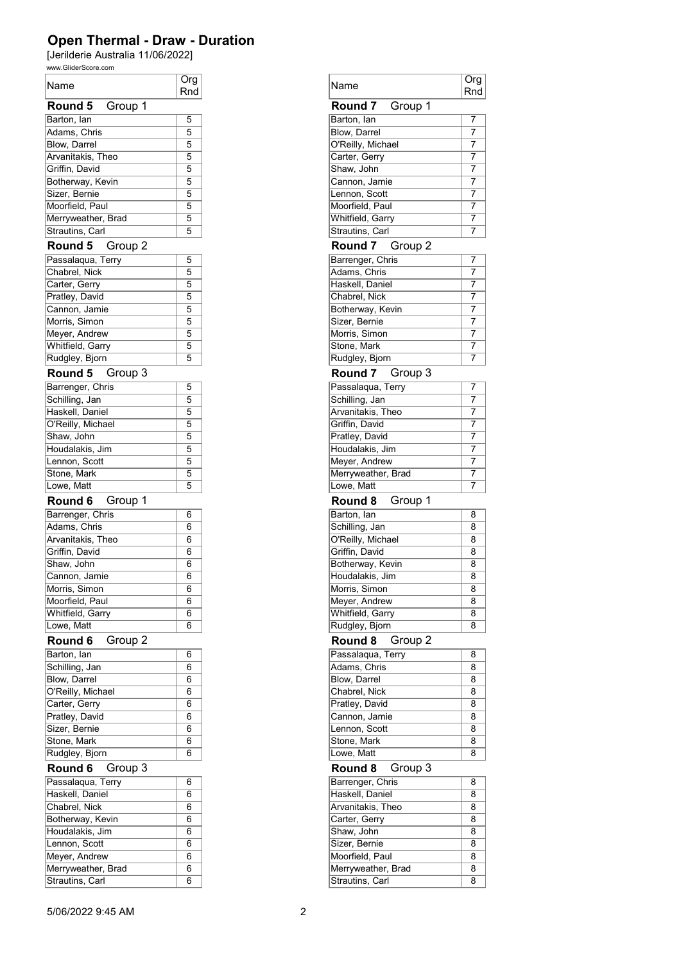## Open Thermal - Draw - Duration

[Jerilderie Australia 11/06/2022]

| www.GliderScore.com |                |  |
|---------------------|----------------|--|
| Name                | Org            |  |
|                     | Rnd            |  |
| Group 1<br>Round 5  |                |  |
| Barton, lan         | 5              |  |
| Adams, Chris        | $\overline{5}$ |  |
| <b>Blow, Darrel</b> | 5              |  |
| Arvanitakis, Theo   | 5              |  |
| Griffin, David      | $\overline{5}$ |  |
| Botherway, Kevin    | 5              |  |
| Sizer, Bernie       | 5              |  |
| Moorfield, Paul     | 5              |  |
| Merryweather, Brad  | 5              |  |
| Strautins, Carl     | 5              |  |
| Round 5<br>Group 2  |                |  |
| Passalaqua, Terry   | 5              |  |
| Chabrel, Nick       | 5              |  |
| Carter, Gerry       | 5              |  |
| Pratley, David      | 5              |  |
| Cannon, Jamie       | 5              |  |
| Morris, Simon       | 5              |  |
| Meyer, Andrew       | 5              |  |
|                     | 5              |  |
| Whitfield, Garry    | 5              |  |
| Rudgley, Bjorn      |                |  |
| Round 5<br>Group 3  |                |  |
| Barrenger, Chris    | 5              |  |
| Schilling, Jan      | 5              |  |
| Haskell, Daniel     | 5              |  |
| O'Reilly, Michael   | 5              |  |
| Shaw, John          | 5              |  |
| Houdalakis, Jim     | 5              |  |
| Lennon, Scott       | 5              |  |
| Stone, Mark         | 5              |  |
| Lowe, Matt          | 5              |  |
| Round 6<br>Group 1  |                |  |
| Barrenger, Chris    | 6              |  |
| Adams, Chris        | 6              |  |
| Arvanitakis, Theo   | 6              |  |
| Griffin, David      | 6              |  |
| Shaw, John          | 6              |  |
| Cannon, Jamie       | 6              |  |
| Morris, Simon       | 6              |  |
| Moorfield, Paul     | 6              |  |
| Whitfield, Garry    | 6              |  |
| Lowe, Matt          | 6              |  |
|                     |                |  |
| Round 6<br>Group 2  |                |  |
| Barton, lan         | 6              |  |
| Schilling, Jan      | 6              |  |
| <b>Blow, Darrel</b> | 6              |  |
| O'Reilly, Michael   | 6              |  |
| Carter, Gerry       | 6              |  |
| Pratley, David      | 6              |  |
| Sizer, Bernie       | 6              |  |
| Stone, Mark         | 6              |  |
| Rudgley, Bjorn      | 6              |  |
| Round 6<br>Group 3  |                |  |
| Passalaqua, Terry   | 6              |  |
| Haskell, Daniel     | 6              |  |
| Chabrel, Nick       | 6              |  |
| Botherway, Kevin    | 6              |  |
| Houdalakis, Jim     | 6              |  |
| Lennon, Scott       | 6              |  |
| Meyer, Andrew       | 6              |  |
| Merryweather, Brad  | 6              |  |
| Strautins, Carl     | 6              |  |
|                     |                |  |

| Org<br>Rnd     | Name               | Org<br>Rnd     |
|----------------|--------------------|----------------|
|                | Group 1<br>Round 7 |                |
| 5              | Barton, lan        | 7              |
| 5              | Blow, Darrel       | 7              |
| 5              | O'Reilly, Michael  | 7              |
| 5              | Carter, Gerry      | 7              |
| 5              | Shaw, John         | 7              |
| 5              | Cannon, Jamie      | 7              |
| 5              | Lennon, Scott      | 7              |
|                | Moorfield, Paul    |                |
| 5              |                    | 7              |
| 5              | Whitfield, Garry   | 7              |
| 5              | Strautins, Carl    | 7              |
|                | Round 7<br>Group 2 |                |
| 5              | Barrenger, Chris   | $\overline{7}$ |
| 5              | Adams, Chris       | 7              |
| 5              | Haskell, Daniel    | 7              |
| 5              | Chabrel, Nick      | 7              |
| 5              | Botherway, Kevin   | 7              |
| 5              | Sizer, Bernie      | 7              |
| 5              | Morris, Simon      | 7              |
| 5              | Stone, Mark        | 7              |
| 5              | Rudgley, Bjorn     | 7              |
|                |                    |                |
|                | Round 7<br>Group 3 |                |
| 5              | Passalaqua, Terry  | 7              |
| 5              | Schilling, Jan     | 7              |
| 5              | Arvanitakis, Theo  | 7              |
| 5              | Griffin, David     | 7              |
| 5              | Pratley, David     | 7              |
| 5              | Houdalakis, Jim    | 7              |
| 5              | Meyer, Andrew      | 7              |
| 5              | Merryweather, Brad | 7              |
| 5              | Lowe, Matt         | 7              |
|                |                    |                |
|                |                    |                |
|                | Round 8<br>Group 1 |                |
| 6              | Barton, lan        | 8              |
| 6              | Schilling, Jan     | 8              |
| 6              | O'Reilly, Michael  | 8              |
| 6              | Griffin, David     | 8              |
| 6              |                    | 8              |
| 6              | Botherway, Kevin   | 8              |
|                | Houdalakis, Jim    |                |
| $\overline{6}$ | Morris, Simon      | $\overline{8}$ |
| 6              | Meyer, Andrew      | 8              |
| 6              | Whitfield, Garry   | 8              |
| 6              | Rudgley, Bjorn     | 8              |
|                | Round 8<br>Group 2 |                |
| 6              | Passalaqua, Terry  | 8              |
| 6              | Adams, Chris       | 8              |
| 6              | Blow, Darrel       | 8              |
| 6              | Chabrel, Nick      | 8              |
| 6              | Pratley, David     | 8              |
| 6              | Cannon, Jamie      | 8              |
| 6              | Lennon, Scott      | 8              |
| 6              |                    | 8              |
| 6              | Stone, Mark        | 8              |
|                | Lowe, Matt         |                |
|                | Round 8<br>Group 3 |                |
| 6              | Barrenger, Chris   | 8              |
| 6              | Haskell, Daniel    | 8              |
| 6              | Arvanitakis, Theo  | 8              |
| 6              | Carter, Gerry      | 8              |
| 6              | Shaw, John         | 8              |
| 6              | Sizer, Bernie      | 8              |
| 6              | Moorfield, Paul    | 8              |
| 6              |                    | 8              |
| 6              | Merryweather, Brad | 8              |
|                | Strautins, Carl    |                |